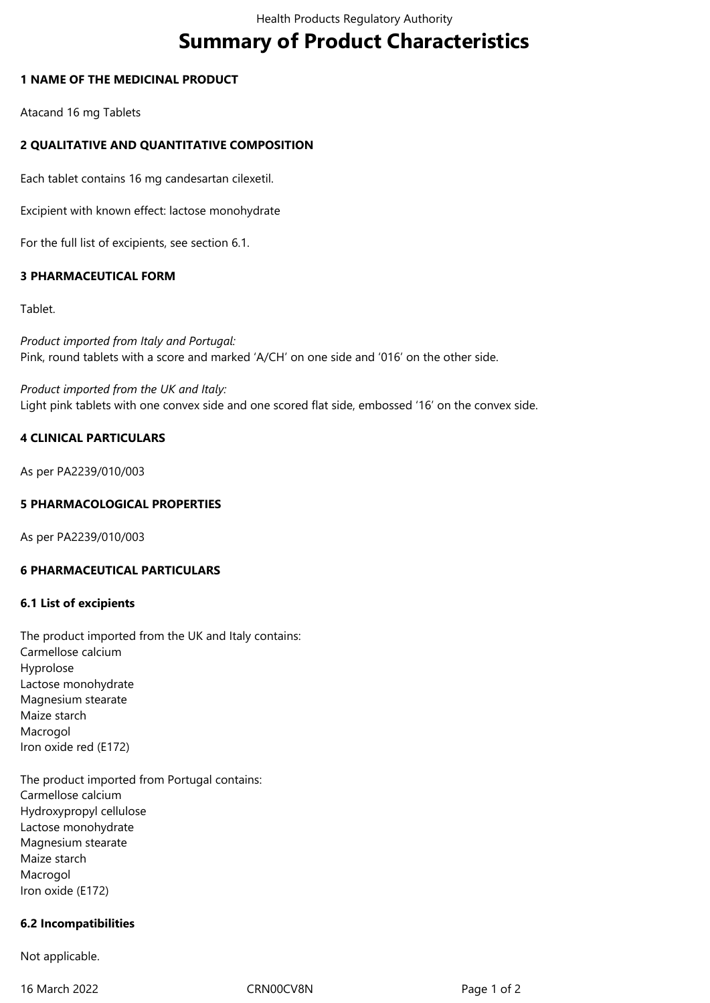# **Summary of Product Characteristics**

#### **1 NAME OF THE MEDICINAL PRODUCT**

Atacand 16 mg Tablets

# **2 QUALITATIVE AND QUANTITATIVE COMPOSITION**

Each tablet contains 16 mg candesartan cilexetil.

Excipient with known effect: lactose monohydrate

For the full list of excipients, see section 6.1.

## **3 PHARMACEUTICAL FORM**

Tablet.

*Product imported from Italy and Portugal:*  Pink, round tablets with a score and marked 'A/CH' on one side and '016' on the other side.

*Product imported from the UK and Italy:* Light pink tablets with one convex side and one scored flat side, embossed '16' on the convex side.

## **4 CLINICAL PARTICULARS**

As per PA2239/010/003

## **5 PHARMACOLOGICAL PROPERTIES**

As per PA2239/010/003

## **6 PHARMACEUTICAL PARTICULARS**

#### **6.1 List of excipients**

The product imported from the UK and Italy contains: Carmellose calcium Hyprolose Lactose monohydrate Magnesium stearate Maize starch Macrogol Iron oxide red (E172)

The product imported from Portugal contains: Carmellose calcium Hydroxypropyl cellulose Lactose monohydrate Magnesium stearate Maize starch Macrogol Iron oxide (E172)

#### **6.2 Incompatibilities**

Not applicable.

16 March 2022 CRN00CV8N CRNOCV8N Page 1 of 2